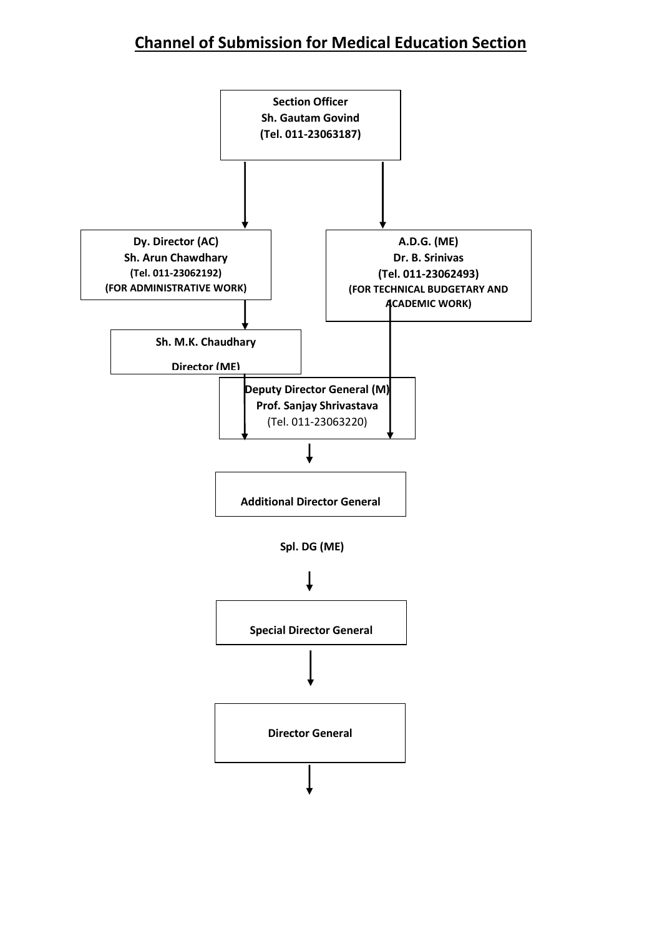# **Channel of Submission for Medical Education Section**

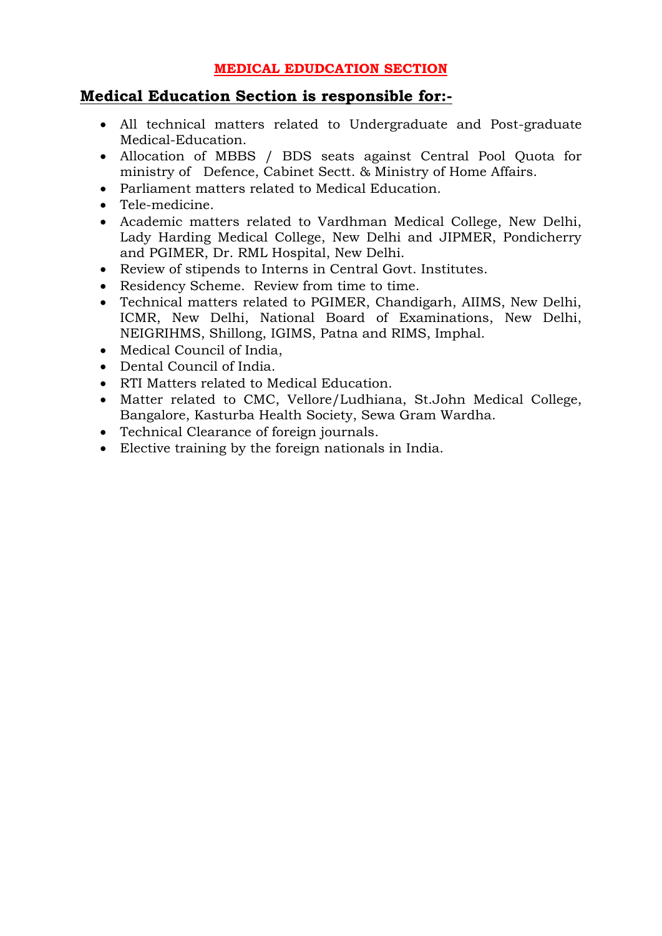## **MEDICAL EDUDCATION SECTION**

# **Medical Education Section is responsible for:-**

- All technical matters related to Undergraduate and Post-graduate Medical-Education.
- Allocation of MBBS / BDS seats against Central Pool Quota for ministry of Defence, Cabinet Sectt. & Ministry of Home Affairs.
- Parliament matters related to Medical Education.
- Tele-medicine.
- Academic matters related to Vardhman Medical College, New Delhi, Lady Harding Medical College, New Delhi and JIPMER, Pondicherry and PGIMER, Dr. RML Hospital, New Delhi.
- Review of stipends to Interns in Central Govt. Institutes.
- Residency Scheme. Review from time to time.
- Technical matters related to PGIMER, Chandigarh, AIIMS, New Delhi, ICMR, New Delhi, National Board of Examinations, New Delhi, NEIGRIHMS, Shillong, IGIMS, Patna and RIMS, Imphal.
- Medical Council of India,
- Dental Council of India.
- RTI Matters related to Medical Education.
- Matter related to CMC, Vellore/Ludhiana, St.John Medical College, Bangalore, Kasturba Health Society, Sewa Gram Wardha.
- Technical Clearance of foreign journals.
- Elective training by the foreign nationals in India.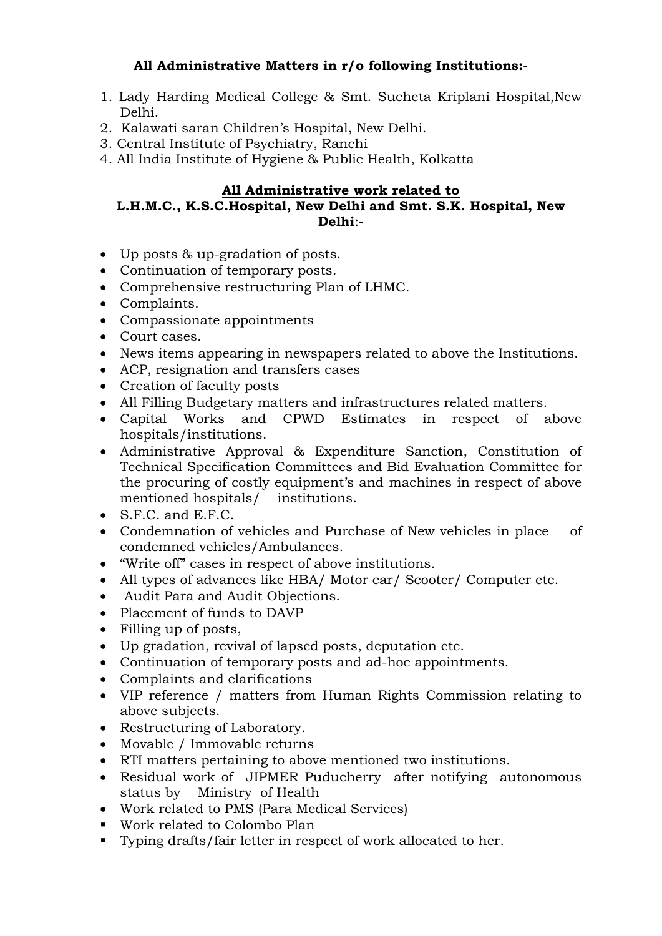# **All Administrative Matters in r/o following Institutions:-**

- 1. Lady Harding Medical College & Smt. Sucheta Kriplani Hospital,New Delhi.
- 2. Kalawati saran Children's Hospital, New Delhi.
- 3. Central Institute of Psychiatry, Ranchi
- 4. All India Institute of Hygiene & Public Health, Kolkatta

#### **All Administrative work related to**

#### **L.H.M.C., K.S.C.Hospital, New Delhi and Smt. S.K. Hospital, New Delhi**:**-**

- Up posts & up-gradation of posts.
- Continuation of temporary posts.
- Comprehensive restructuring Plan of LHMC.
- Complaints.
- Compassionate appointments
- Court cases.
- News items appearing in newspapers related to above the Institutions.
- ACP, resignation and transfers cases
- Creation of faculty posts
- All Filling Budgetary matters and infrastructures related matters.
- Capital Works and CPWD Estimates in respect of above hospitals/institutions.
- Administrative Approval & Expenditure Sanction, Constitution of Technical Specification Committees and Bid Evaluation Committee for the procuring of costly equipment's and machines in respect of above mentioned hospitals/ institutions.
- $\bullet$  S.F.C. and E.F.C.
- Condemnation of vehicles and Purchase of New vehicles in place of condemned vehicles/Ambulances.
- "Write off" cases in respect of above institutions.
- All types of advances like HBA/ Motor car/ Scooter/ Computer etc.
- Audit Para and Audit Objections.
- Placement of funds to DAVP
- Filling up of posts,
- Up gradation, revival of lapsed posts, deputation etc.
- Continuation of temporary posts and ad-hoc appointments.
- Complaints and clarifications
- VIP reference / matters from Human Rights Commission relating to above subjects.
- Restructuring of Laboratory.
- Movable / Immovable returns
- RTI matters pertaining to above mentioned two institutions.
- Residual work of JIPMER Puducherry after notifying autonomous status by Ministry of Health
- Work related to PMS (Para Medical Services)
- Work related to Colombo Plan
- Typing drafts/fair letter in respect of work allocated to her.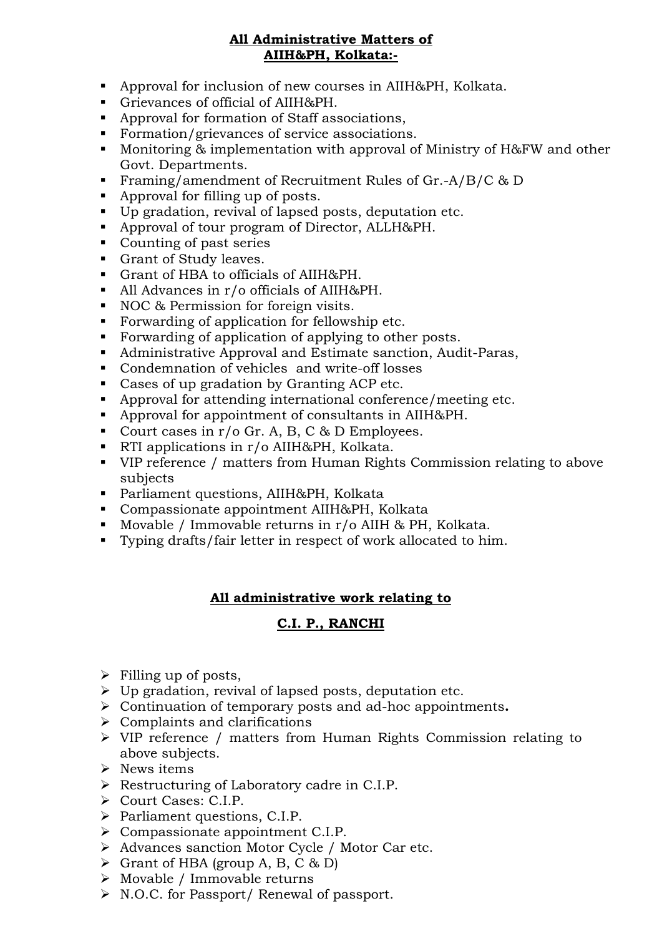#### **All Administrative Matters of AIIH&PH, Kolkata:-**

- Approval for inclusion of new courses in AIIH&PH, Kolkata.
- Grievances of official of AIIH&PH.
- Approval for formation of Staff associations,
- Formation/grievances of service associations.
- Monitoring & implementation with approval of Ministry of H&FW and other Govt. Departments.
- Framing/amendment of Recruitment Rules of Gr.-A/B/C & D
- Approval for filling up of posts.
- Up gradation, revival of lapsed posts, deputation etc.
- Approval of tour program of Director, ALLH&PH.
- Counting of past series
- Grant of Study leaves.
- Grant of HBA to officials of AIIH&PH.
- All Advances in r/o officials of AIIH&PH.
- NOC & Permission for foreign visits.
- Forwarding of application for fellowship etc.
- Forwarding of application of applying to other posts.
- Administrative Approval and Estimate sanction, Audit-Paras,
- Condemnation of vehicles and write-off losses
- Cases of up gradation by Granting ACP etc.
- Approval for attending international conference/meeting etc.
- Approval for appointment of consultants in AIIH&PH.
- Court cases in  $r/o$  Gr. A, B, C & D Employees.
- RTI applications in r/o AIIH&PH, Kolkata.
- VIP reference / matters from Human Rights Commission relating to above subjects
- Parliament questions, AIIH&PH, Kolkata
- Compassionate appointment AIIH&PH, Kolkata
- Movable / Immovable returns in  $r/0$  AIIH & PH, Kolkata.
- Typing drafts/fair letter in respect of work allocated to him.

## **All administrative work relating to**

## **C.I. P., RANCHI**

- $\triangleright$  Filling up of posts,
- $\triangleright$  Up gradation, revival of lapsed posts, deputation etc.
- Continuation of temporary posts and ad-hoc appointments**.**
- $\triangleright$  Complaints and clarifications
- VIP reference / matters from Human Rights Commission relating to above subjects.
- $\triangleright$  News items
- $\triangleright$  Restructuring of Laboratory cadre in C.I.P.
- Court Cases: C.I.P.
- > Parliament questions, C.I.P.
- $\triangleright$  Compassionate appointment C.I.P.
- Advances sanction Motor Cycle / Motor Car etc.
- $\triangleright$  Grant of HBA (group A, B, C & D)
- $\triangleright$  Movable / Immovable returns
- $\triangleright$  N.O.C. for Passport/ Renewal of passport.